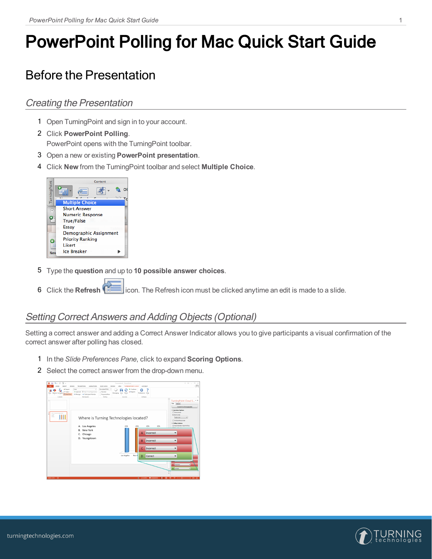# PowerPoint Polling for Mac Quick Start Guide

# Before the Presentation

### Creating the Presentation

- 1 Open TurningPoint and sign in to your account.
- 2 Click **PowerPoint Polling**. PowerPoint opens with the TurningPoint toolbar.
- 3 Open a new or existing **PowerPoint presentation**.
- 4 Click **New** from the TurningPoint toolbar and select **Multiple Choice**.



- 5 Type the **question** and up to **10 possible answer choices**.
- 6 Click the **Refresh** icon. The Refresh icon must be clicked anytime an edit is made to a slide.

### Setting Correct Answers and Adding Objects (Optional)

Setting a correct answer and adding a Correct Answer Indicator allows you to give participants a visual confirmation of the correct answer after polling has closed.

- 1 In the *Slide Preferences Pane*, click to expand **Scoring Options**.
- 2 Select the correct answer from the drop-down menu.



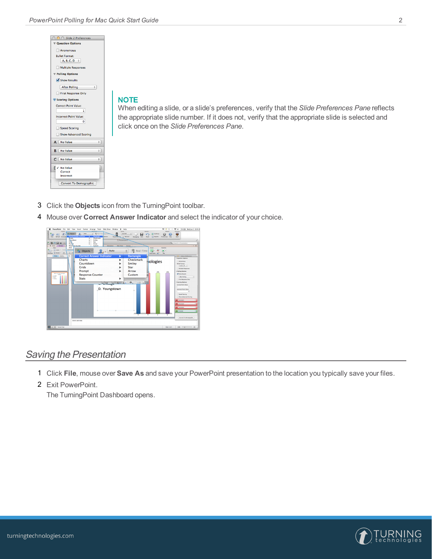| ◯ ○ Slide 2 Preferences       |
|-------------------------------|
| <b>▼ Question Options</b>     |
| Anonymous                     |
| <b>Bullet Format:</b>         |
| $A, B, C, D \div$             |
| Multiple Responses            |
| Polling Options               |
| Show Results                  |
| <b>After Polling</b><br>÷     |
| First Response Only           |
| Scoring Options               |
| <b>Correct Point Value:</b>   |
| 1                             |
| <b>Incorrect Point Value:</b> |
| n                             |
| Speed Scoring                 |
| Show Advanced Scoring         |
| A No Value<br>$\div$          |
| No Value<br>B.<br>÷           |
|                               |
| C No Value<br>÷               |
| √ No Value                    |
| Correct                       |
| Incorrect                     |
| <b>Convert To Demographic</b> |
|                               |

#### **NOTE**

When editing a slide, or a slide's preferences, verify that the *Slide Preferences Pane* reflects the appropriate slide number. If it does not, verify that the appropriate slide is selected and click once on the *Slide Preferences Pane*.

- 3 Click the **Objects** icon from the TurningPoint toolbar.
- 4 Mouse over **Correct Answer Indicator** and select the indicator of your choice.



#### Saving the Presentation

- 1 Click **File**, mouse over **Save As** and save your PowerPoint presentation to the location you typically save your files.
- 2 Exit PowerPoint.

The TurningPoint Dashboard opens.

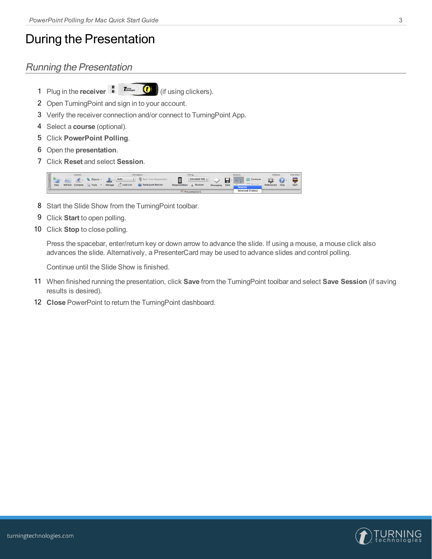## During the Presentation

### Running the Presentation

1 Plug in the **receiver** (if using clickers).

- 2 Open TurningPoint and sign in to your account.
- 3 Verify the receiver connection and/or connect to TurningPoint App.
- 4 Select a **course** (optional).
- 5 Click **PowerPoint Polling**.
- 6 Open the **presentation**.
- 7 Click **Reset** and select **Session**.



- 8 Start the Slide Show from the TurningPoint toolbar.
- 9 Click **Start** to open polling.
- 10 Click **Stop** to close polling.

Press the spacebar, enter/return key or down arrow to advance the slide. If using a mouse, a mouse click also advances the slide. Alternatively, a PresenterCard may be used to advance slides and control polling.

Continue until the Slide Show is finished.

- 11 When finished running the presentation, click **Save** from the TurningPoint toolbar and select **Save Session** (if saving results is desired).
- 12 **Close** PowerPoint to return the TurningPoint dashboard.